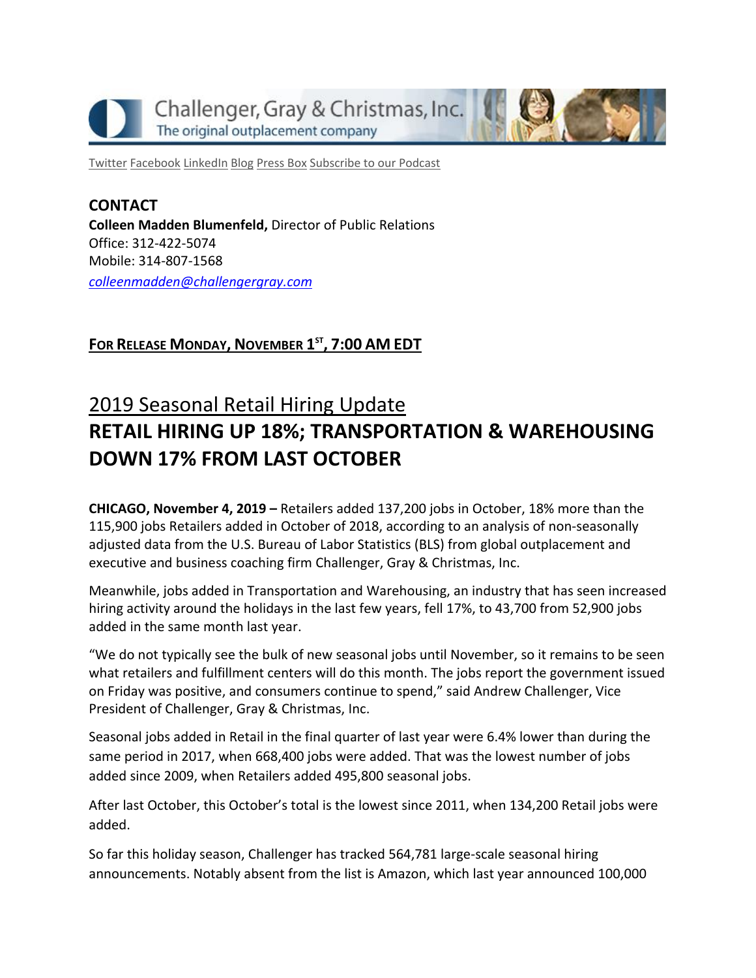

[Twitter](https://twitter.com/#!/ChallengerGray) [Facebook](https://www.facebook.com/ChallengerGray) [LinkedIn](http://www.linkedin.com/company/28264?trk=tyah) [Blog](http://www.challengergray.com/press/blog) [Press](http://www.challengergray.com/press/press-releases) Box [Subscribe](https://itunes.apple.com/us/podcast/challenger-podcast-hr-passport/id1155541697?mt=2) to our Podcast

**CONTACT Colleen Madden Blumenfeld,** Director of Public Relations Office: 312-422-5074 Mobile: 314-807-1568 *[colleenmadden@challengergray.com](mailto:colleenmadden@challengergray.com)*

### **FOR RELEASE MONDAY, NOVEMBER 1 ST , 7:00 AM EDT**

# 2019 Seasonal Retail Hiring Update **RETAIL HIRING UP 18%; TRANSPORTATION & WAREHOUSING DOWN 17% FROM LAST OCTOBER**

**CHICAGO, November 4, 2019 –** Retailers added 137,200 jobs in October, 18% more than the 115,900 jobs Retailers added in October of 2018, according to an analysis of non-seasonally adjusted data from the U.S. Bureau of Labor Statistics (BLS) from global outplacement and executive and business coaching firm Challenger, Gray & Christmas, Inc.

Meanwhile, jobs added in Transportation and Warehousing, an industry that has seen increased hiring activity around the holidays in the last few years, fell 17%, to 43,700 from 52,900 jobs added in the same month last year.

"We do not typically see the bulk of new seasonal jobs until November, so it remains to be seen what retailers and fulfillment centers will do this month. The jobs report the government issued on Friday was positive, and consumers continue to spend," said Andrew Challenger, Vice President of Challenger, Gray & Christmas, Inc.

Seasonal jobs added in Retail in the final quarter of last year were 6.4% lower than during the same period in 2017, when 668,400 jobs were added. That was the lowest number of jobs added since 2009, when Retailers added 495,800 seasonal jobs.

After last October, this October's total is the lowest since 2011, when 134,200 Retail jobs were added.

So far this holiday season, Challenger has tracked 564,781 large-scale seasonal hiring announcements. Notably absent from the list is Amazon, which last year announced 100,000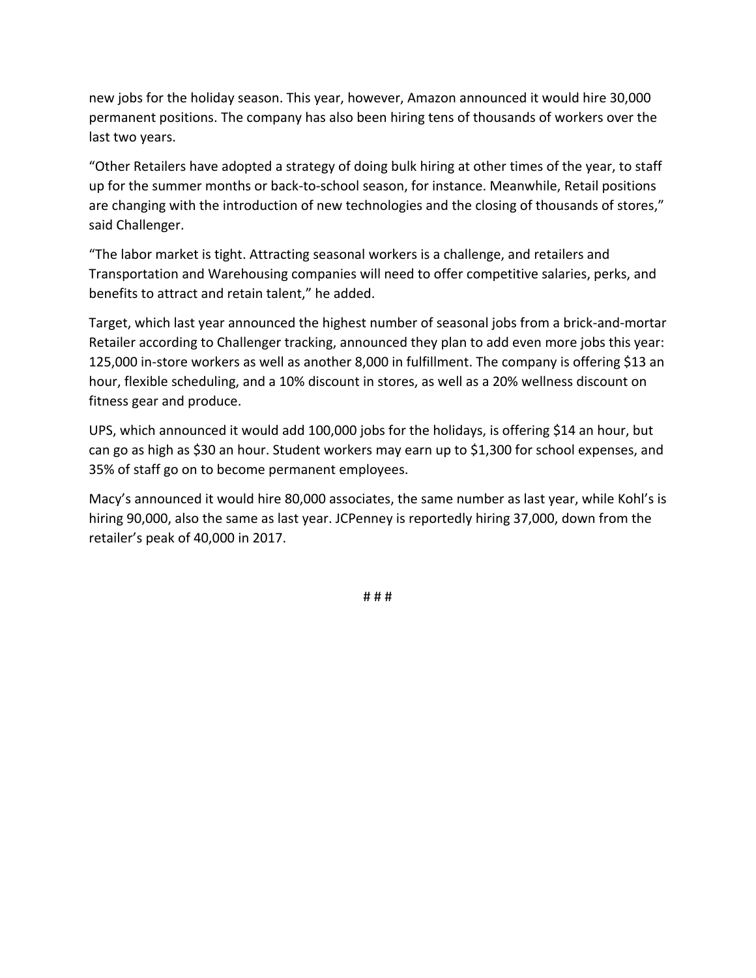new jobs for the holiday season. This year, however, Amazon announced it would hire 30,000 permanent positions. The company has also been hiring tens of thousands of workers over the last two years.

"Other Retailers have adopted a strategy of doing bulk hiring at other times of the year, to staff up for the summer months or back-to-school season, for instance. Meanwhile, Retail positions are changing with the introduction of new technologies and the closing of thousands of stores," said Challenger.

"The labor market is tight. Attracting seasonal workers is a challenge, and retailers and Transportation and Warehousing companies will need to offer competitive salaries, perks, and benefits to attract and retain talent," he added.

Target, which last year announced the highest number of seasonal jobs from a brick-and-mortar Retailer according to Challenger tracking, announced they plan to add even more jobs this year: 125,000 in-store workers as well as another 8,000 in fulfillment. The company is offering \$13 an hour, flexible scheduling, and a 10% discount in stores, as well as a 20% wellness discount on fitness gear and produce.

UPS, which announced it would add 100,000 jobs for the holidays, is offering \$14 an hour, but can go as high as \$30 an hour. Student workers may earn up to \$1,300 for school expenses, and 35% of staff go on to become permanent employees.

Macy's announced it would hire 80,000 associates, the same number as last year, while Kohl's is hiring 90,000, also the same as last year. JCPenney is reportedly hiring 37,000, down from the retailer's peak of 40,000 in 2017.

# # #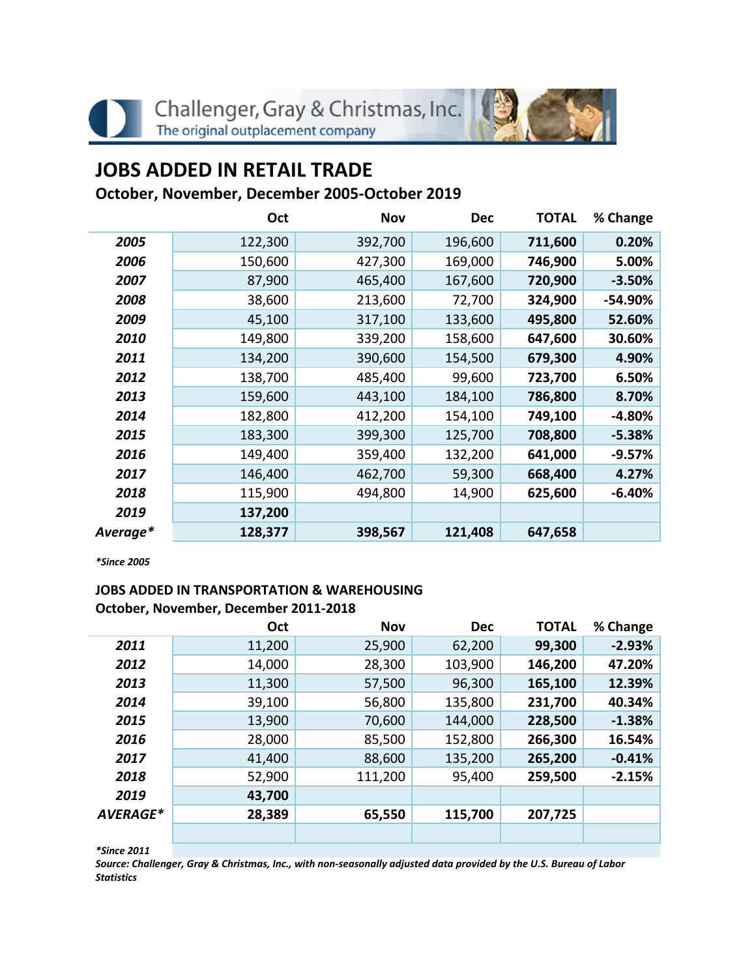

# **JOBS ADDED IN RETAIL TRADE**

## **October, November, December 2005-October 2019**

|          | Oct     | <b>Nov</b> | <b>Dec</b> | <b>TOTAL</b> | % Change |
|----------|---------|------------|------------|--------------|----------|
| 2005     | 122,300 | 392,700    | 196,600    | 711,600      | 0.20%    |
| 2006     | 150,600 | 427,300    | 169,000    | 746,900      | 5.00%    |
| 2007     | 87,900  | 465,400    | 167,600    | 720,900      | $-3.50%$ |
| 2008     | 38,600  | 213,600    | 72,700     | 324,900      | -54.90%  |
| 2009     | 45,100  | 317,100    | 133,600    | 495,800      | 52.60%   |
| 2010     | 149,800 | 339,200    | 158,600    | 647,600      | 30.60%   |
| 2011     | 134,200 | 390,600    | 154,500    | 679,300      | 4.90%    |
| 2012     | 138,700 | 485,400    | 99,600     | 723,700      | 6.50%    |
| 2013     | 159,600 | 443,100    | 184,100    | 786,800      | 8.70%    |
| 2014     | 182,800 | 412,200    | 154,100    | 749,100      | $-4.80%$ |
| 2015     | 183,300 | 399,300    | 125,700    | 708,800      | $-5.38%$ |
| 2016     | 149,400 | 359,400    | 132,200    | 641,000      | $-9.57%$ |
| 2017     | 146,400 | 462,700    | 59,300     | 668,400      | 4.27%    |
| 2018     | 115,900 | 494,800    | 14,900     | 625,600      | $-6.40%$ |
| 2019     | 137,200 |            |            |              |          |
| Average* | 128,377 | 398,567    | 121,408    | 647,658      |          |

*\*Since 2005*

### **JOBS ADDED IN TRANSPORTATION & WAREHOUSING October, November, December 2011-2018**

|          | Oct    | <b>Nov</b> | <b>Dec</b> | <b>TOTAL</b> | % Change |
|----------|--------|------------|------------|--------------|----------|
| 2011     | 11,200 | 25,900     | 62,200     | 99,300       | $-2.93%$ |
| 2012     | 14,000 | 28,300     | 103,900    | 146,200      | 47.20%   |
| 2013     | 11,300 | 57,500     | 96,300     | 165,100      | 12.39%   |
| 2014     | 39,100 | 56,800     | 135,800    | 231,700      | 40.34%   |
| 2015     | 13,900 | 70,600     | 144,000    | 228,500      | $-1.38%$ |
| 2016     | 28,000 | 85,500     | 152,800    | 266,300      | 16.54%   |
| 2017     | 41,400 | 88,600     | 135,200    | 265,200      | $-0.41%$ |
| 2018     | 52,900 | 111,200    | 95,400     | 259,500      | $-2.15%$ |
| 2019     | 43,700 |            |            |              |          |
| AVERAGE* | 28,389 | 65,550     | 115,700    | 207,725      |          |
|          |        |            |            |              |          |

*\*Since 2011*

*Source: Challenger, Gray & Christmas, Inc., with non-seasonally adjusted data provided by the U.S. Bureau of Labor Statistics*